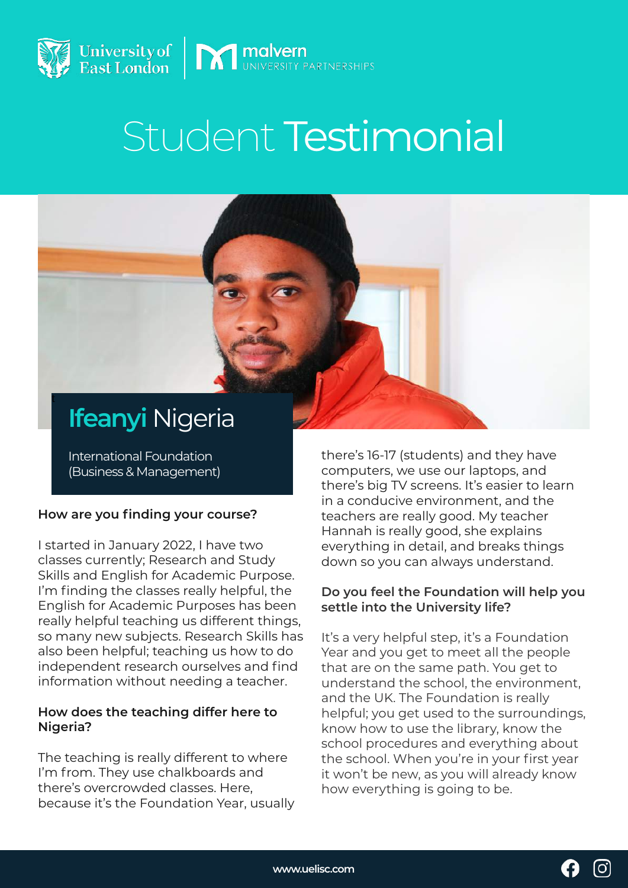



# **Ifeanyi** Nigeria

t

International Foundation (Business & Management)

## **How are you finding your course?**

I started in January 2022, I have two classes currently; Research and Study Skills and English for Academic Purpose. I'm finding the classes really helpful, the English for Academic Purposes has been really helpful teaching us different things, so many new subjects. Research Skills has also been helpful; teaching us how to do independent research ourselves and find information without needing a teacher.

#### **How does the teaching differ here to Nigeria?**

The teaching is really different to where I'm from. They use chalkboards and there's overcrowded classes. Here, because it's the Foundation Year, usually there's 16-17 (students) and they have computers, we use our laptops, and there's big TV screens. It's easier to learn in a conducive environment, and the teachers are really good. My teacher Hannah is really good, she explains everything in detail, and breaks things down so you can always understand.

#### **Do you feel the Foundation will help you settle into the University life?**

It's a very helpful step, it's a Foundation Year and you get to meet all the people that are on the same path. You get to understand the school, the environment, and the UK. The Foundation is really helpful; you get used to the surroundings, know how to use the library, know the school procedures and everything about the school. When you're in your first year it won't be new, as you will already know how everything is going to be.

$$
\mathbf{O} \quad \text{C}
$$